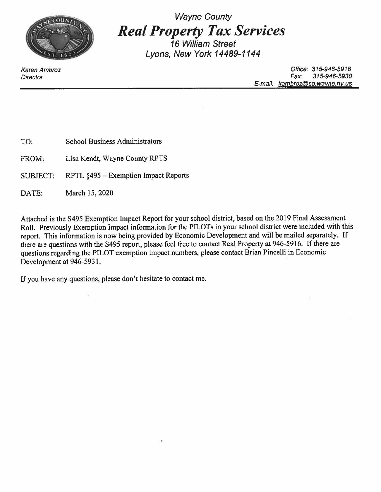

Wayne County<br>**Real Property Tax Services**  $\overline{16}$  William Street Lvons. New York 14489-1144

Karen Ambroz Office: 315-946-5916 Director Fax: 315-946-5930 E-mail: [kambroz@co.wavne.nv.us](mailto:kambroz@co.wavne.nv.us)

TO: School Business Administrators

FROM: Lisa Kendt, Wayne County RPTS

SUBJECT: RPTL §495 - Exemption Impact Reports

DATE: March 15, 2020

Attached is the S495 Exemption Impact Report for your school district, based on the 2019 Final Assessment Roll. Previously Exemption Impact information for the PILOTs in your school district were included with this report. This information is now being provided by Economic Development and will be mailed separately. If there are questions with the S495 report, please feel free to contact Real Property at 946-5916. If there are questions regarding the PILOT exemption impact numbers, please contact Brian Pincelli in Economic Development at 946-5931.

If you have any questions, please don't hesitate to contact me.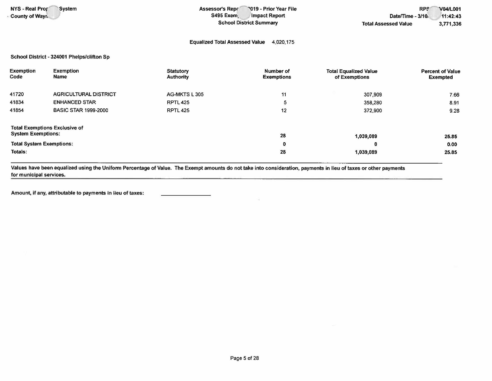NYS - Real Pror • County of Wayr,

System **Assessor's Repr** 2019 - Prior Year File S495 Exem, Impact Report School District Summary

## Equalized Total Assessed Value 4,020,175

School District - 324001 Phelps/Clifton Sp

| Exemption<br>Code                                                 | Exemption<br><b>Name</b>     | Statutory<br><b>Authority</b> | Number of<br><b>Exemptions</b> | <b>Total Equalized Value</b><br>of Exemptions | <b>Percent of Value</b><br>Exempted |
|-------------------------------------------------------------------|------------------------------|-------------------------------|--------------------------------|-----------------------------------------------|-------------------------------------|
| 41720                                                             | <b>AGRICULTURAL DISTRICT</b> | AG-MKTS L 305                 | 11                             | 307,909                                       | 7.66                                |
| 41834                                                             | <b>ENHANCED STAR</b>         | <b>RPTL 425</b>               | 5                              | 358,280                                       | 8.91                                |
| 41854                                                             | <b>BASIC STAR 1999-2000</b>  | <b>RPTL 425</b>               | 12                             | 372,900                                       | 9.28                                |
| <b>Total Exemptions Exclusive of</b><br><b>System Exemptions:</b> |                              |                               | 28                             | 1,039,089                                     | 25.85                               |
| <b>Total System Exemptions:</b>                                   |                              |                               | 0                              | 0                                             | 0.00                                |
| Totals:                                                           |                              |                               | 28                             | 1,039,089                                     | 25.85                               |

Values have been equalized using the Uniform Percentage of Value. The Exempt amounts do not take into consideration, payments in lieu of taxes or other payments for municipal services.

Amount, if any, attributable to payments in lieu of taxes: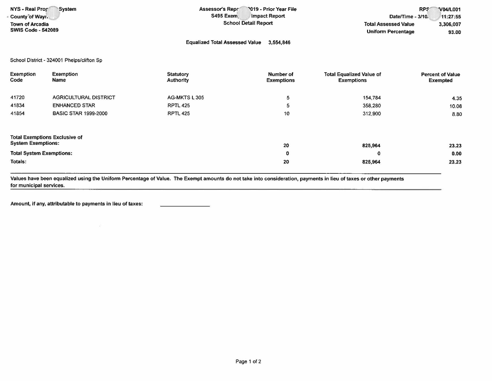| NYS - Real Prop<br>System | <b>2019 - Prior Year File</b><br><b>Assessor's Repr</b> | <b>RPS</b>                  | <b>V04/L001</b> |
|---------------------------|---------------------------------------------------------|-----------------------------|-----------------|
| County of Wayr.           | S495 Exem<br>Impact Report                              | Date/Time - 3/10.           | 11:27:55        |
| <b>Town of Arcadia</b>    | <b>School Detail Report</b>                             | <b>Total Assessed Value</b> | 3,306,007       |
| <b>SWIS Code - 542089</b> |                                                         | <b>Uniform Percentage</b>   | 93.00           |
|                           | <b>Equalized Total Assessed Value</b><br>3.554,846      |                             |                 |

School District • 324001 Phelps/clifton Sp

| <b>Exemption</b><br>Code             | <b>Exemption</b><br><b>Name</b> | <b>Statutory</b><br>Authority | Number of<br><b>Exemptions</b> | <b>Total Equalized Value of</b><br><b>Exemptions</b> | <b>Percent of Value</b><br><b>Exempted</b> |  |
|--------------------------------------|---------------------------------|-------------------------------|--------------------------------|------------------------------------------------------|--------------------------------------------|--|
|                                      |                                 |                               |                                |                                                      |                                            |  |
| 41720                                | <b>AGRICULTURAL DISTRICT</b>    | AG-MKTS L 305                 | 5                              | 154,784                                              | 4.35                                       |  |
| 41834                                | <b>ENHANCED STAR</b>            | <b>RPTL 425</b>               |                                | 358,280                                              | 10.08                                      |  |
| 41854                                | <b>BASIC STAR 1999-2000</b>     | <b>RPTL 425</b>               | 10                             | 312,900                                              | 8.80                                       |  |
|                                      |                                 |                               |                                |                                                      |                                            |  |
|                                      |                                 |                               |                                |                                                      |                                            |  |
| <b>Total Exemptions Exclusive of</b> |                                 |                               |                                |                                                      |                                            |  |
| <b>System Exemptions:</b>            |                                 | 20                            | 825,964                        | 23.23                                                |                                            |  |
| <b>Total System Exemptions:</b>      |                                 |                               | $\mathbf 0$                    | 0                                                    | 0.00                                       |  |
| Totals:                              |                                 |                               | 20<br><b>COLLEGE</b>           | 825,964                                              | 23.23                                      |  |

Values have been equalized using the Uniform Percentage of Value. The Exempt amounts do not take into consideration, payments in lieu of taxes or other payments for municipal services.

Amount, if any, attributable to payments in lieu of taxes: